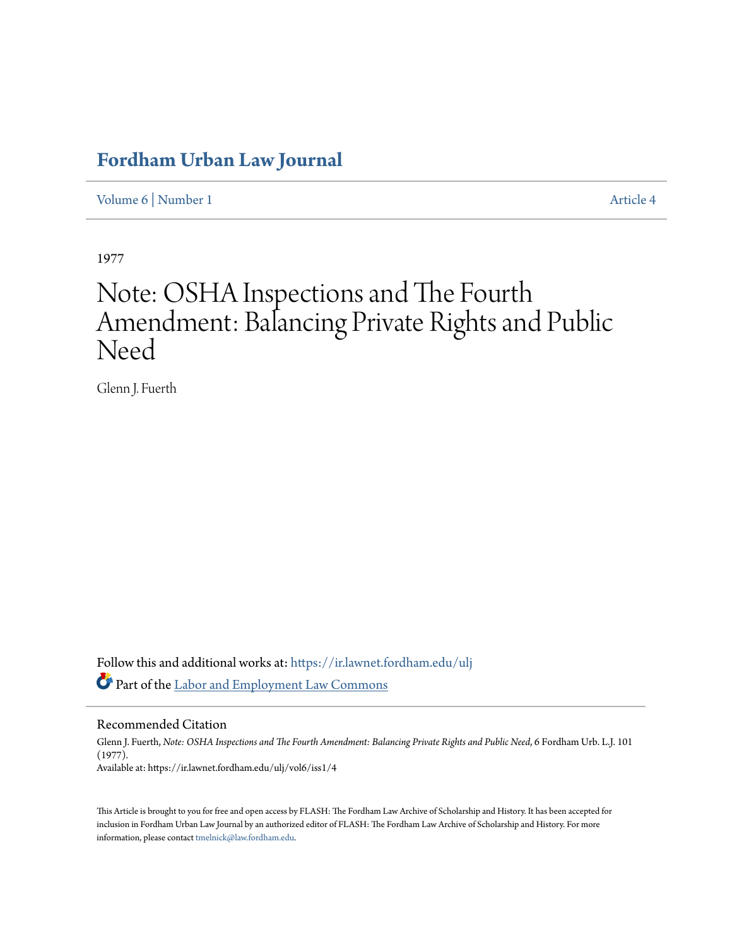# **[Fordham Urban Law Journal](https://ir.lawnet.fordham.edu/ulj?utm_source=ir.lawnet.fordham.edu%2Fulj%2Fvol6%2Fiss1%2F4&utm_medium=PDF&utm_campaign=PDFCoverPages)**

[Volume 6](https://ir.lawnet.fordham.edu/ulj/vol6?utm_source=ir.lawnet.fordham.edu%2Fulj%2Fvol6%2Fiss1%2F4&utm_medium=PDF&utm_campaign=PDFCoverPages) | [Number 1](https://ir.lawnet.fordham.edu/ulj/vol6/iss1?utm_source=ir.lawnet.fordham.edu%2Fulj%2Fvol6%2Fiss1%2F4&utm_medium=PDF&utm_campaign=PDFCoverPages) [Article 4](https://ir.lawnet.fordham.edu/ulj/vol6/iss1/4?utm_source=ir.lawnet.fordham.edu%2Fulj%2Fvol6%2Fiss1%2F4&utm_medium=PDF&utm_campaign=PDFCoverPages)

1977

# Note: OSHA Inspections and The Fourth Amendment: Balancing Private Rights and Public Need

Glenn J. Fuerth

Follow this and additional works at: [https://ir.lawnet.fordham.edu/ulj](https://ir.lawnet.fordham.edu/ulj?utm_source=ir.lawnet.fordham.edu%2Fulj%2Fvol6%2Fiss1%2F4&utm_medium=PDF&utm_campaign=PDFCoverPages) Part of the [Labor and Employment Law Commons](http://network.bepress.com/hgg/discipline/909?utm_source=ir.lawnet.fordham.edu%2Fulj%2Fvol6%2Fiss1%2F4&utm_medium=PDF&utm_campaign=PDFCoverPages)

Recommended Citation

Glenn J. Fuerth, *Note: OSHA Inspections and The Fourth Amendment: Balancing Private Rights and Public Need*, 6 Fordham Urb. L.J. 101 (1977). Available at: https://ir.lawnet.fordham.edu/ulj/vol6/iss1/4

This Article is brought to you for free and open access by FLASH: The Fordham Law Archive of Scholarship and History. It has been accepted for inclusion in Fordham Urban Law Journal by an authorized editor of FLASH: The Fordham Law Archive of Scholarship and History. For more information, please contact [tmelnick@law.fordham.edu](mailto:tmelnick@law.fordham.edu).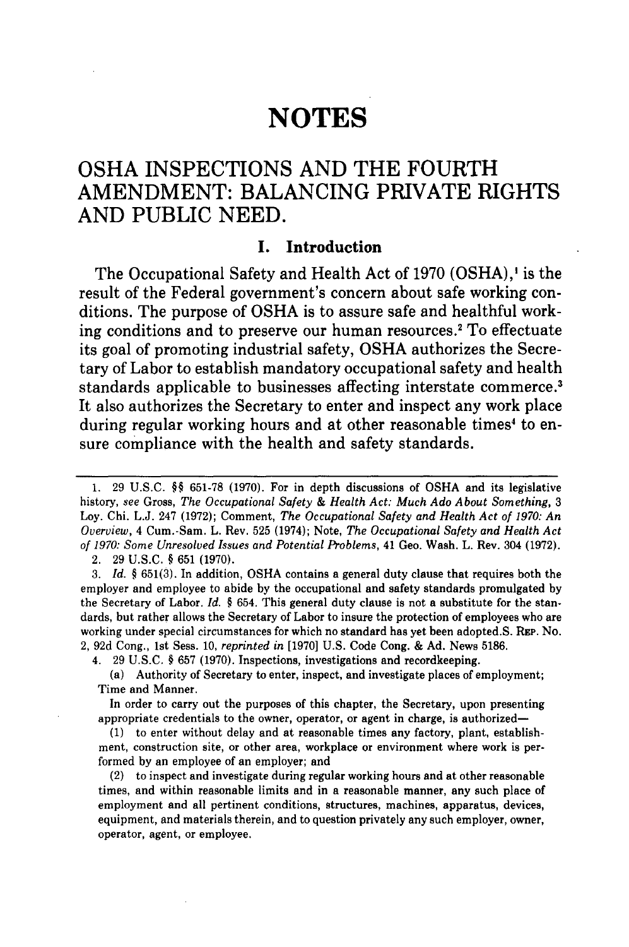## **OSHA** INSPECTIONS **AND** THE FOURTH **AMENDMENT:** BALANCING PRIVATE RIGHTS **AND** PUBLIC **NEED.**

#### **I. Introduction**

The Occupational Safety and Health Act of **1970 (OSHA),'** is the result of the Federal government's concern about safe working conditions. The purpose of **OSHA** is to assure safe and healthful working conditions and to preserve our human resources.2 To effectuate its goal of promoting industrial safety, **OSHA** authorizes the Secretary of Labor to establish mandatory occupational safety and health standards applicable to businesses affecting interstate commerce.<sup>3</sup> It also authorizes the Secretary to enter and inspect any work place during regular working hours and at other reasonable times<sup>4</sup> to ensure compliance with the health and safety standards.

2. 29 U.S.C. § 651 (1970).

*3. Id.* § 651(3). In addition, OSHA contains a general duty clause that requires both the employer and employee to abide by the occupational and safety standards promulgated by the Secretary of Labor. *Id.* § 654. This general duty clause is not a substitute for the standards, but rather allows the Secretary of Labor to insure the protection of employees who are working under special circumstances for which no standard has yet been adopted.S. REP. No. 2, 92d Cong., 1st Sess. 10, *reprinted in* [1970] U.S. Code Cong. & Ad. News 5186.

4. 29 U.S.C. § 657 (1970). Inspections, investigations and recordkeeping.

(a) Authority of Secretary to enter, inspect, and investigate places of employment; Time and Manner.

In order to carry out the purposes of this chapter, the Secretary, upon presenting appropriate credentials to the owner, operator, or agent in charge, is authorized-

**(1)** to enter without delay and at reasonable times any factory, plant, establishment, construction site, or other area, workplace or environment where work is performed by an employee of an employer; and

(2) to inspect and investigate during regular working hours and at other reasonable times, and within reasonable limits and in a reasonable manner, any such place of employment and all pertinent conditions, structures, machines, apparatus, devices, equipment, and materials therein, and to question privately any such employer, owner, operator, agent, or employee.

<sup>1. 29</sup> U.S.C. §§ 651-78 (1970). For in depth discussions of OSHA and its legislative history, *see* Gross, *The Occupational Safety & Health Act: Much Ado About Something, 3* Loy. Chi. L.J. 247 (1972); Comment, *The Occupational Safety and Health Act of 1970: An Overview,* 4 Cum.-Sam. L. Rev. 525 (1974); Note, *The Occupational Safety and Health Act of 1970: Some Unresolved Issues and Potential Problems,* 41 Geo. Wash. L. Rev. 304 (1972).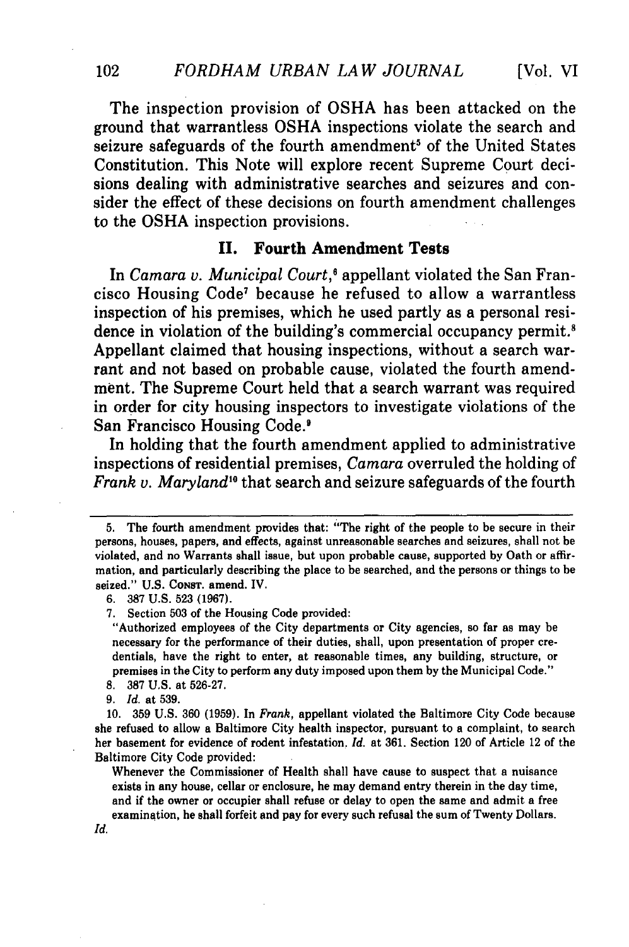The inspection provision of **OSHA** has been attacked on the ground that warrantless **OSHA** inspections violate the search and seizure safeguards of the fourth amendment<sup>5</sup> of the United States Constitution. This Note will explore recent Supreme Court decisions dealing with administrative searches and seizures and consider the effect of these decisions on fourth amendment challenges to the **OSHA** inspection provisions.

## **II. Fourth Amendment Tests**

**In** *Camara v. Municipal Court,'* appellant violated the San Francisco Housing Code7 because he refused to allow a warrantless inspection of his premises, which he used partly as a personal residence in violation of the building's commercial occupancy permit.<sup>8</sup> Appellant claimed that housing inspections, without a search warrant and not based on probable cause, violated the fourth amend**ment.** The Supreme Court held that a search warrant was required in order for city housing inspectors to investigate violations of the San Francisco Housing Code.'

In holding that the fourth amendment applied to administrative inspections of residential premises, *Camara* overruled the holding of *Frank v. Maryland*<sup>10</sup> that search and seizure safeguards of the fourth

- 8. **387** U.S. at 526-27.
- 9. *Id.* at 539.

10. 359 U.S. 360 (1959). In *Frank,* appellant violated the Baltimore City Code because she refused to allow a Baltimore City health inspector, pursuant to a complaint, to search her basement for evidence of rodent infestation. *Id.* at 361. Section 120 of Article 12 of the Baltimore City Code provided:

Whenever the Commissioner of Health shall have cause to suspect that a nuisance exists in any house, cellar or enclosure, he may demand entry therein in the day time, and if the owner or occupier shall refuse or delay to open the same and admit a free examination, he shall forfeit and pay for every such refusal the sum of Twenty Dollars.

Id.

<sup>5.</sup> The fourth amendment provides that: 'The right of the people to be secure in their persons, houses, papers, and effects, against unreasonable searches and seizures, shall not be violated, and no Warrants shall issue, but upon probable cause, supported by Oath or affirmation, and particularly describing the place to be searched, and the persons or things to be seized." U.S. **CONST.** amend. IV.

<sup>6. 387</sup> U.S. 523 (1967).

<sup>7.</sup> Section 503 of the Housing Code provided:

<sup>&</sup>quot;Authorized employees of the City departments or City agencies, so far as may be necessary for the performance of their duties, shall, upon presentation of proper credentials, have the right to enter, at reasonable times, any building, structure, or premises in the City to perform any duty imposed upon them by the Municipal Code."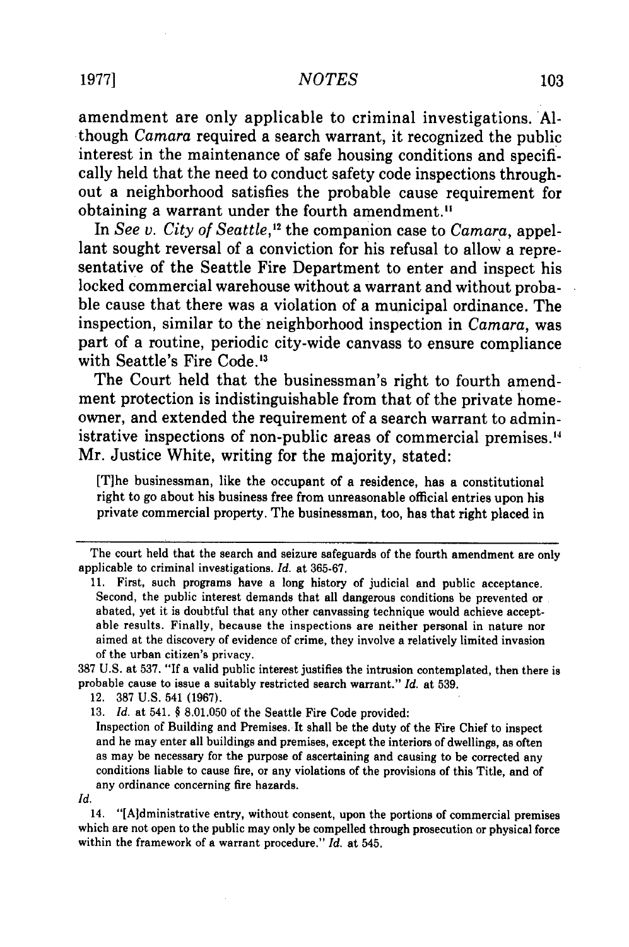amendment are only applicable to criminal investigations. **Al**though *Camara* required a search warrant, it recognized the public interest in the maintenance of safe housing conditions and specifically held that the need to conduct safety code inspections throughout a neighborhood satisfies the probable cause requirement for obtaining a warrant under the fourth amendment."

In *See v. City of Seattle,'"* the companion case to *Camara,* appellant sought reversal of a conviction for his refusal to allow a representative of the Seattle Fire Department to enter and inspect his locked commercial warehouse without a warrant and without probable cause that there was a violation of a municipal ordinance. The inspection, similar to the neighborhood inspection in *Camara,* was part of a routine, periodic city-wide canvass to ensure compliance with Seattle's Fire Code.'3

The Court held that the businessman's right to fourth amendment protection is indistinguishable from that of the private homeowner, and extended the requirement of a search warrant to administrative inspections of non-public areas of commercial premises." Mr. Justice White, writing for the majority, stated:

[T]he businessman, like the occupant of a residence, has a constitutional right to go about his business free from unreasonable official entries upon his private commercial property. The businessman, too, has that right placed in

387 U.S. at 537. "If a valid public interest justifies the intrusion contemplated, then there is probable cause to issue a suitably restricted search warrant." *Id.* at 539.

12. 387 U.S. 541 (1967).

13. *Id.* at 541. § 8.01.050 of the Seattle Fire Code provided:

Inspection of Building and Premises. It shall be the duty of the Fire Chief to inspect and he may enter all buildings and premises, except the interiors of dwellings, as often as may be necessary for the purpose of ascertaining and causing to be corrected any conditions liable to cause fire, or any violations of the provisions of this Title, and of any ordinance concerning fire hazards.

*Id.*

14. "[Aidministrative entry, without consent, upon the portions of commercial premises which are not open to the public may only be compelled through prosecution or physical force within the framework of a warrant procedure." *Id.* at 545.

The court held that the search and seizure safeguards of the fourth amendment are only applicable to criminal investigations. *Id.* at 365-67.

<sup>11.</sup> First, such programs have a long history of judicial and public acceptance. Second, the public interest demands that all dangerous conditions be prevented or abated, yet it is doubtful that any other canvassing technique would achieve acceptable results. Finally, because the inspections are neither personal in nature nor aimed at the discovery of evidence of crime, they involve a relatively limited invasion of the urban citizen's privacy.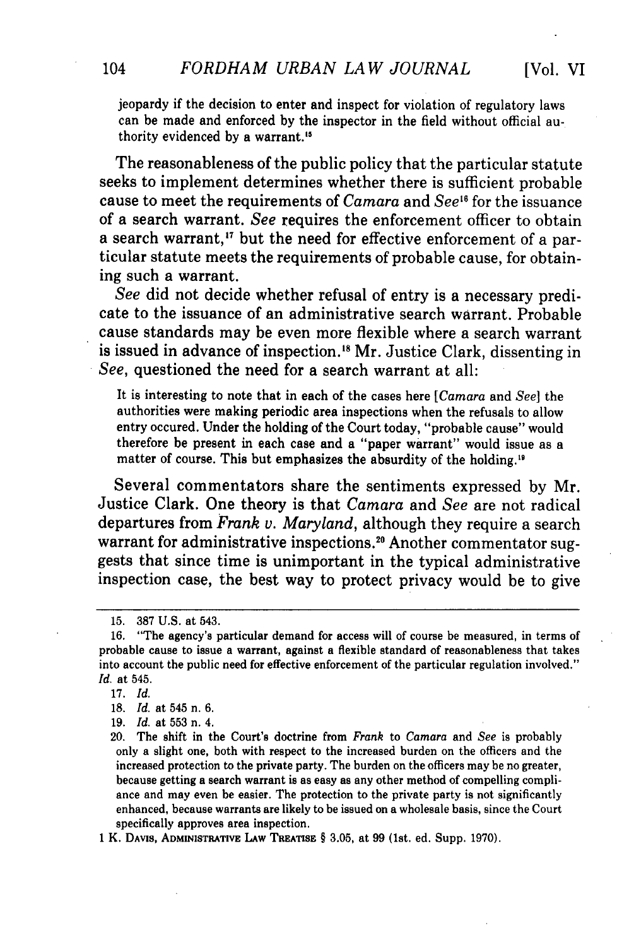jeopardy if the decision to enter and inspect for violation of regulatory laws can be made and enforced by the inspector in the field without official authority evidenced by a warrant."

The reasonableness of the public policy that the particular statute seeks to implement determines whether there is sufficient probable cause to meet the requirements of *Camara* and *See"8* for the issuance of a search warrant. *See* requires the enforcement officer to obtain a search warrant," but the need for effective enforcement of a particular statute meets the requirements of probable cause, for obtaining such a warrant.

*See* did not decide whether refusal of entry is a necessary predicate to the issuance of an administrative search warrant. Probable cause standards may be even more flexible where a search warrant is issued in advance of inspection."8 Mr. Justice Clark, dissenting in *See,* questioned the need for a search warrant at all:

It is interesting to note that in each of the cases here *[Camara* and *See]* the authorities were making periodic area inspections when the refusals to allow entry occured. Under the holding of the Court today, "probable cause" would therefore be present in each case and a "paper warrant" would issue as a matter of course. This but emphasizes the absurdity of the holding."

Several commentators share the sentiments expressed by Mr. Justice Clark. One theory is that *Camara* and *See* are not radical departures from *Frank v. Maryland,* although they require a search warrant for administrative inspections.<sup>20</sup> Another commentator suggests that since time is unimportant in the typical administrative inspection case, the best way to protect privacy would be to give

1 K. **DAvis,** ADMINISTRATIVE **LAw** TREATISE § 3.05, at **99** (1st. ed. Supp. 1970).

<sup>15.</sup> **387** U.S. at 543.

**<sup>16.</sup>** "The agency's particular demand for access will of course be measured, in terms of probable cause to issue a warrant, against a flexible standard of reasonableness that takes into account the public need for effective enforcement of the particular regulation involved." *Id.* at 545.

<sup>17.</sup> *Id.*

<sup>18.</sup> *Id.* at 545 n. 6.

**<sup>19.</sup>** *Id.* at **553** n. 4.

<sup>20.</sup> The shift in the Court's doctrine from *Frank* to *Camara* and *See* is probably only a slight one, both with respect to the increased burden on the officers and the increased protection to the private party. The burden on the officers may be no greater, because getting a search warrant is as easy as any other method of compelling compliance and may even be easier. The protection to the private party is not significantly enhanced, because warrants are likely to be issued on a wholesale basis, since the Court specifically approves area inspection.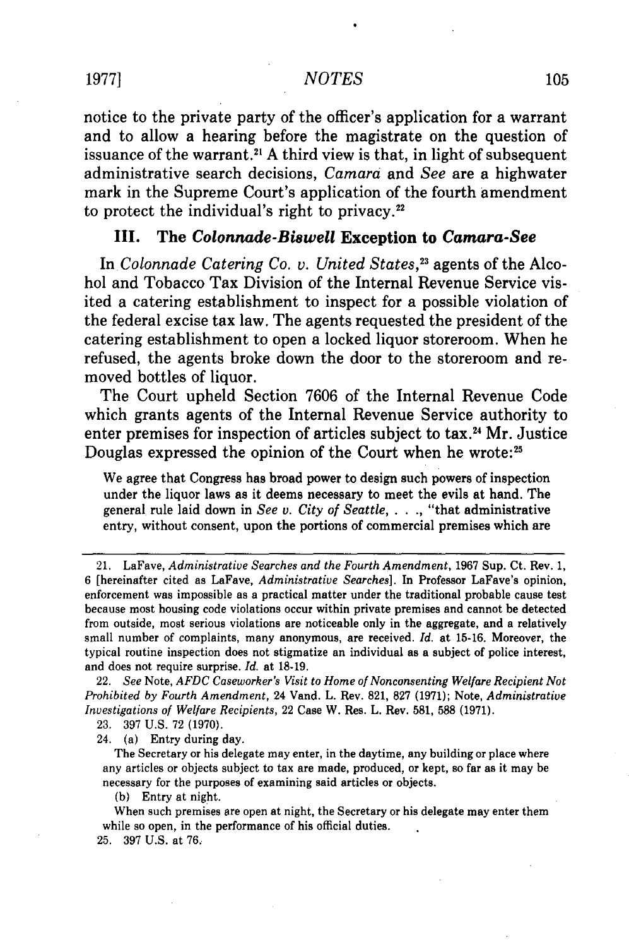notice to the private party of the officer's application for a warrant and to allow a hearing before the magistrate on the question of issuance of the warrant." **A** third view is that, in light of subsequent administrative search decisions, *Camara* and *See* are a highwater mark in the Supreme Court's application of the fourth amendment to protect the individual's right to privacy.

## **III. The** *Colonnade-Biswell* **Exception to** *Camara-See*

In *Colonnade Catering Co. v. United States,23* agents of the Alcohol and Tobacco Tax Division of the Internal Revenue Service visited a catering establishment to inspect for a possible violation of the federal excise tax law. The agents requested the president of the catering establishment to open a locked liquor storeroom. When he refused, the agents broke down the door to the storeroom and removed bottles of liquor.

The Court upheld Section **7606** of the Internal Revenue Code which grants agents of the Internal Revenue Service authority to enter premises for inspection of articles subject to tax.24 Mr. Justice Douglas expressed the opinion of the Court when he wrote:<sup>25</sup>

We agree that Congress has broad power to design such powers of inspection under the liquor laws as it deems necessary to meet the evils at hand. The general rule laid down in *See v. City of Seattle,* . **. .,** "that administrative entry, without consent, upon the portions of commercial premises which are

23. 397 U.S. 72 (1970).

24. (a) Entry during day.

The Secretary or his delegate may enter, in the daytime, any building or place where any articles or objects subject to tax are made, produced, or kept, so far as it may be necessary for the purposes of examining said articles or objects.

(b) Entry at night.

When such premises are open at night, the Secretary or his delegate may enter them while so open, in the performance of his official duties.

25. 397 U.S. at **76.**

<sup>21.</sup> LaFave, *Administrative Searches and the Fourth Amendment,* 1967 Sup. Ct. Rev. 1, 6 [hereinafter cited as LaFave, *Administrative Searches].* In Professor LaFave's opinion, enforcement was impossible as a practical matter under the traditional probable cause test because most housing code violations occur within private premises and cannot be detected from outside, most serious violations are noticeable only in the aggregate, and a relatively small number of complaints, many anonymous, are received. *Id.* at 15-16. Moreover, the typical routine inspection does not stigmatize an individual as a subject of police interest, and does not require surprise. *Id.* at 18-19.

<sup>22.</sup> *See* Note, *AFDC Caseworker's Visit to Home of Nonconsenting Welfare Recipient Not Prohibited by Fourth Amendment,* 24 Vand. L. Rev. 821, 827 (1971); Note, *Administrative Investigations of Welfare Recipients,* 22 Case W. Res. L. Rev. 581, 588 (1971).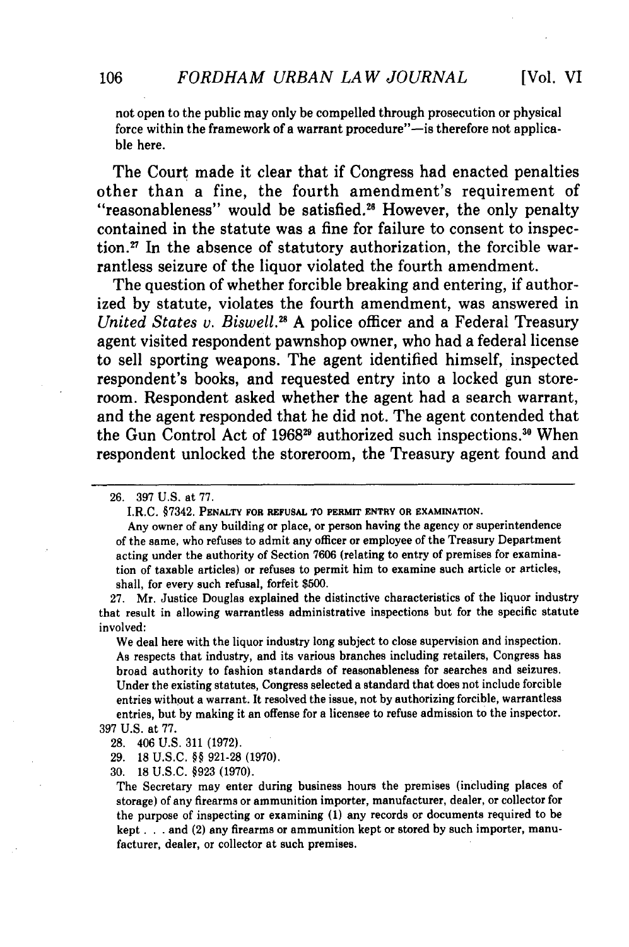not open to the public may only be compelled through prosecution or physical force within the framework of a warrant procedure"—is therefore not applicable here.

The Court made it clear that if Congress had enacted penalties other than a fine, the fourth amendment's requirement of "reasonableness" would be satisfied.26 However, the only penalty contained in the statute was a fine for failure to consent to inspec**tion.27** In the absence of statutory authorization, the forcible warrantless seizure of the liquor violated the fourth amendment.

The question of whether forcible breaking and entering, if authorized **by** statute, violates the fourth amendment, was answered in *United States v. Biswell.5* **A** police officer and a Federal Treasury agent visited respondent pawnshop owner, who had a federal license to sell sporting weapons. The agent identified himself, inspected respondent's books, and requested entry into a locked gun storeroom. Respondent asked whether the agent had a search warrant, and the agent responded that he did not. The agent contended that the Gun Control Act of 1968<sup>29</sup> authorized such inspections.<sup>30</sup> Wher respondent unlocked the storeroom, the Treasury agent found and

Any owner of any building or place, or person having the agency or superintendence of the same, who refuses to admit any officer or employee of the Treasury Department acting under the authority of Section **7606** (relating to entry of premises for examination of taxable articles) or refuses to permit him to examine such article or articles, shall, for every such refusal, forfeit **\$500.**

**27.** Mr. Justice Douglas explained the distinctive characteristics of the liquor industry that result in allowing warrantless administrative inspections but for the specific statute involved:

We deal here with the liquor industry long subject to close supervision and inspection. As respects that industry, and its various branches including retailers, Congress has broad authority to fashion standards of reasonableness for searches and seizures. Under the existing statutes, Congress selected a standard that does not include forcible entries without a warrant. It resolved the issue, not **by** authorizing forcible, warrantless entries, but **by** making it an offense for a licensee to refuse admission to the inspector.

**397 U.S.** at **77.**

**29. 18 U.S.C.** §§ **921-28 (1970).**

**30. 18 U.S.C. §923 (1970).**

The Secretary may enter during business hours the premises (including places of storage) of any firearms or ammunition importer, manufacturer, dealer, or collector for the purpose of inspecting or examining **(1)** any records or documents required to be kept. **. .** and (2) any firearms or ammunition kept or stored **by** such importer, manufacturer, dealer, or collector at such premises.

<sup>26. 397</sup> U.S. at 77.

I.R.C. §7342. **PENALTY FOR REFUSAL TO PERMIT ENTRY OR EXAMINATION.**

**<sup>28.</sup>** 406 **U.S. 311 (1972).**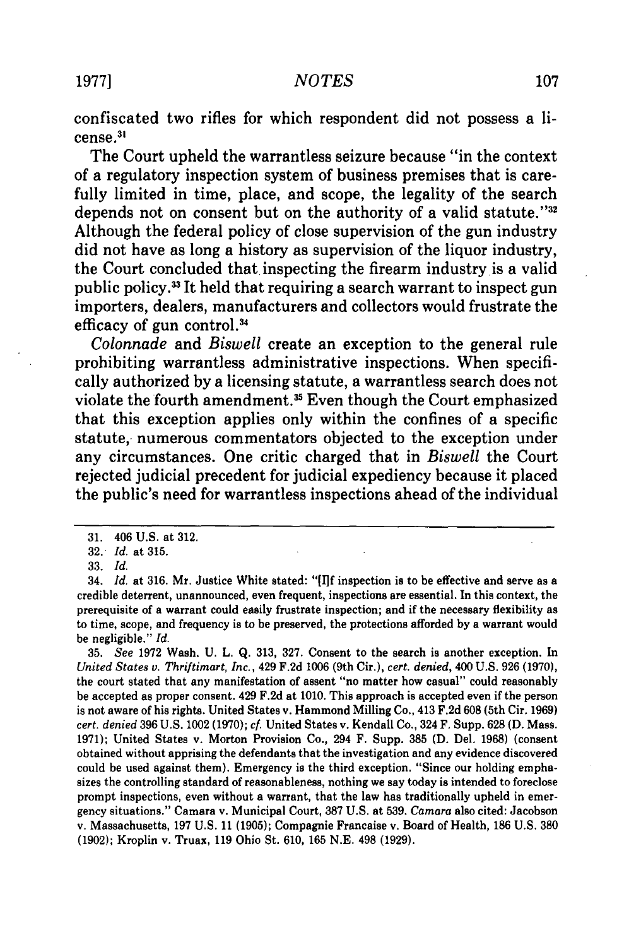confiscated two rifles for which respondent did not possess a license. 3 '

The Court upheld the warrantless seizure because "in the context of a regulatory inspection system of business premises that is carefully limited in time, place, and scope, the legality of the search depends not on consent but on the authority of a valid statute."<sup>32</sup> Although the federal policy of close supervision of the gun industry did not have as long a history as supervision of the liquor industry, the Court concluded that inspecting the firearm industry is a valid public policy.3 It held that requiring a search warrant to inspect gun importers, dealers, manufacturers and collectors would frustrate the efficacy of gun control. <sup>34</sup>

*Colonnade* and *Biswell* create an exception to the general rule prohibiting warrantless administrative inspections. When specifically authorized **by** a licensing statute, a warrantless search does not violate the fourth amendment.<sup>35</sup> Even though the Court emphasized that this exception applies only within the confines of a specific statute, numerous commentators objected to the exception under any circumstances. One critic charged that in *Biswell* the Court rejected judicial precedent for judicial expediency because it placed the public's need for warrantless inspections ahead of the individual

**35.** *See* **1972** Wash. **U.** L. **Q. 313, 327.** Consent to the search is another exception. In *United States v. Thriftimart, Inc.,* 429 **F.2d** 1006 (9th Cir.), *cert. denied,* 400 U.S. 926 (1970), the court stated that any manifestation of assent "no matter how casual" could reasonably be accepted as proper consent. 429 F.2d at 1010. This approach is accepted even if the person is not aware of his rights. United States v. Hammond Milling Co., 413 F.2d 608 (5th Cir. 1969) *cert. denied* 396 U.S. 1002 (1970); cf. United States v. Kendall Co., 324 F. Supp. 628 **(D.** Mass. 1971); United States v. Morton Provision Co., 294 F. Supp. **385 (D.** Del. 1968) (consent obtained without apprising the defendants that the investigation and any evidence discovered could be used against them). Emergency is the third exception. "Since our holding emphasizes the controlling standard of reasonableness, nothing we say today is intended to foreclose prompt inspections, even without a warrant, that the law has traditionally upheld in emergency situations." Camara v. Municipal Court, 387 U.S. at **539.** *Camara* also cited: Jacobson v. Massachusetts, 197 U.S. 11 (1905); Compagnie Francaise v. Board of Health, 186 U.S. 380 (1902); Kroplin v. Truax, 119 Ohio St. 610, 165 N.E. 498 (1929).

<sup>31. 406</sup> U.S. at 312.

<sup>32.</sup> *Id.* at 315.

<sup>33.</sup> *Id.*

<sup>34.</sup> *Id.* at 316. Mr. Justice White stated: **"[Ilf** inspection is to be effective and serve as a credible deterrent, unannounced, even frequent, inspections are essential. In this context, the prerequisite of a warrant could easily frustrate inspection; and if the necessary flexibility as to time, scope, and frequency is to be preserved, the protections afforded **by** a warrant would be negligible." *Id.*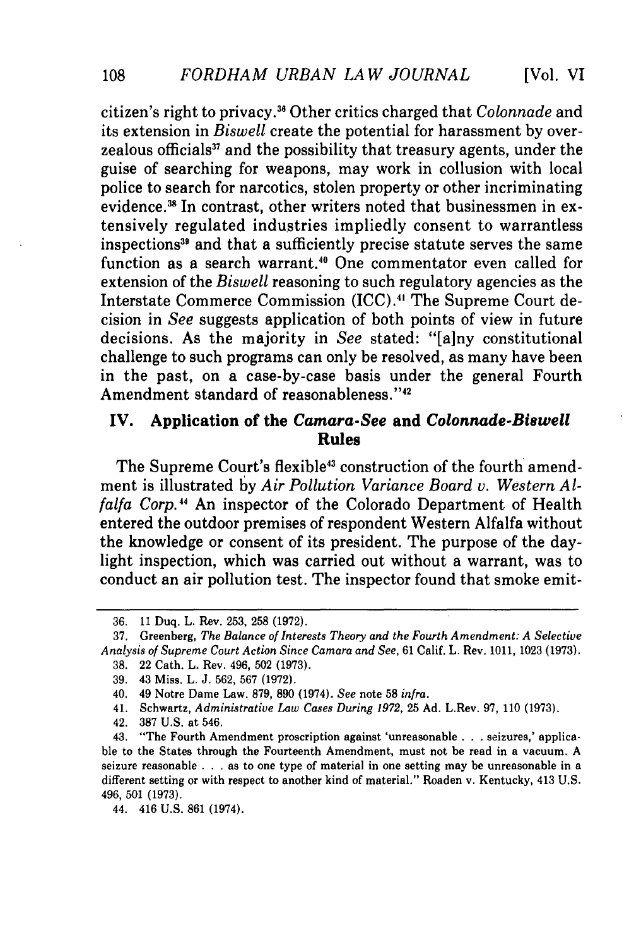citizen's right to privacy. 6 Other critics charged that *Colonnade* and its extension in *Biswell* create the potential for harassment by overzealous officials<sup>37</sup> and the possibility that treasury agents, under the guise of searching for weapons, may work in collusion with local police to search for narcotics, stolen property or other incriminating evidence.<sup>38</sup> In contrast, other writers noted that businessmen in extensively regulated industries impliedly consent to warrantless inspections" and that a sufficiently precise statute serves the same function as a search warrant.<sup>40</sup> One commentator even called for extension of the *Biswell* reasoning to such regulatory agencies as the Interstate Commerce Commission (ICC). 4' The Supreme Court decision in *See* suggests application of both points of view in future decisions. As the majority in *See* stated: "[a]ny constitutional challenge to such programs can only be resolved, as many have been in the past, on a case-by-case basis under the general Fourth Amendment standard of reasonableness."<sup>42</sup>

## IV. Application of the *Camara-See* and *Colonnade-Biswell* Rules

The Supreme Court's flexible<sup>43</sup> construction of the fourth amendment is illustrated by *Air Pollution Variance Board v. Western Alfalfa Corp."* An inspector of the Colorado Department of Health entered the outdoor premises of respondent Western Alfalfa without the knowledge or consent of its president. The purpose of the daylight inspection, which was carried out without a warrant, was to conduct an air pollution test. The inspector found that smoke emit-

42. 387 U.S. at 546.

<sup>36. 11</sup> Duq. L. Rev. 253, 258 (1972).

<sup>37.</sup> Greenberg, *The Balance of Interests Theory and the Fourth Amendment: A Selective Analysis of Supreme* Court *Action Since Camara and See,* 61 Calif. L. Rev. 1011, 1023 (1973).

<sup>38. 22</sup> Cath. L. Rev. 496, 502 (1973).

<sup>39. 43</sup> Miss. L. J. 562, 567 (1972).

<sup>40. 49</sup> Notre Dame Law. 879, 890 (1974). *See* note 58 *infra.*

<sup>41.</sup> Schwartz, *Administrative Law Cases During 1972,* 25 Ad. L.Rev. 97, 110 (1973).

<sup>43. &</sup>quot;The Fourth Amendment proscription against 'unreasonable .**.** .seizures,' applicable to the States through the Fourteenth Amendment, must not be read in a vacuum. A seizure reasonable . . . as to one type of material in one setting may be unreasonable in a different setting or with respect to another kind of material." Roaden v. Kentucky, 413 U.S. 496, 501 (1973).

<sup>44. 416</sup> U.S. 861 (1974).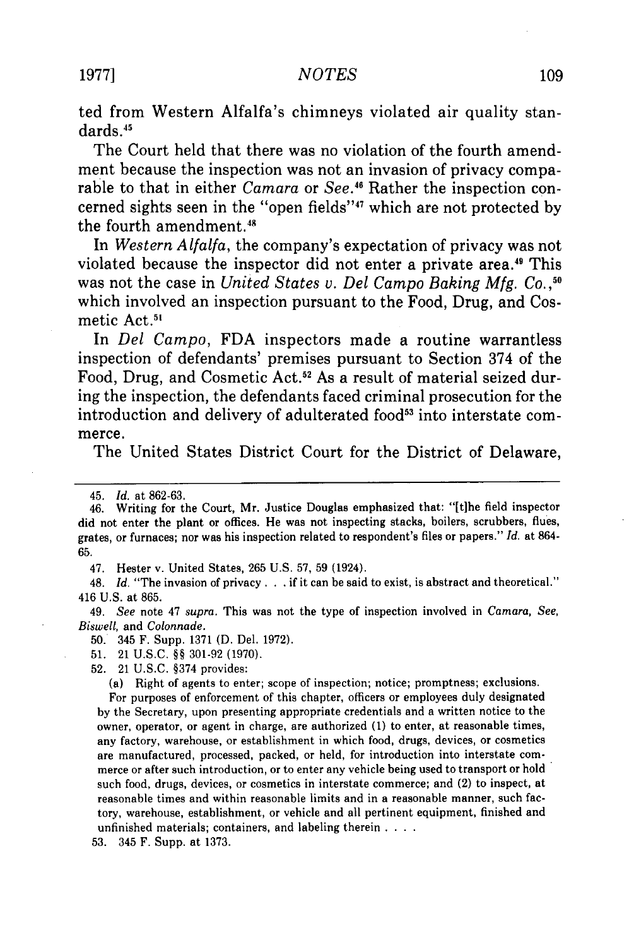ted from Western Alfalfa's chimneys violated air quality standards.45

The Court held that there was no violation of the fourth amendment because the inspection was not an invasion of privacy comparable to that in either *Camara* or *See.*<sup>46</sup> Rather the inspection concerned sights seen in the "open fields"47 which are not protected **by** the fourth amendment.<sup>48</sup>

In *Western Alfalfa,* the company's expectation of privacy was not violated because the inspector did not enter a private area." This was not the case in *United States v. Del Campo Baking Mfg. Co.,50* which involved an inspection pursuant to the Food, Drug, and Cosmetic Act.<sup>51</sup>

In *Del Campo,* **FDA** inspectors made a routine warrantless inspection of defendants' premises pursuant to Section 374 of the Food, Drug, and Cosmetic Act.<sup>52</sup> As a result of material seized during the inspection, the defendants faced criminal prosecution for the introduction and delivery of adulterated food<sup>53</sup> into interstate commerce.

The United States District Court for the District of Delaware,

47. Hester v. United States, 265 U.S. 57, 59 (1924).

48. *Id.* "The invasion of privacy **...** if it can be said to exist, is abstract and theoretical." 416 U.S. at 865.

49. *See* note 47 supra. This was not the type of inspection involved in *Camara, See, Biswell,* and *Colonnade.*

50. 345 F. Supp. 1371 (D. Del. 1972).

51. 21 U.S.C. §§ 301-92 (1970).

52. 21 U.S.C. §374 provides:

(a) Right of agents to enter; scope of inspection; notice; promptness; exclusions.

For purposes of enforcement of this chapter, officers or employees duly designated by the Secretary, upon presenting appropriate credentials and a written notice to the owner, operator, or agent in charge, are authorized (1) to enter, at reasonable times, any factory, warehouse, or establishment in which food, drugs, devices, or cosmetics are manufactured, processed, packed, or held, for introduction into interstate commerce or after such introduction, or to enter any vehicle being used to transport or hold such food, drugs, devices, or cosmetics in interstate commerce; and (2) to inspect, at reasonable times and within reasonable limits and in a reasonable manner, such factory, warehouse, establishment, or vehicle and all pertinent equipment, finished and unfinished materials; containers, and labeling therein . **. ..**

53. 345 F. Supp. at 1373.

<sup>45.</sup> *Id.* at 862-63.

<sup>46.</sup> Writing for the Court, Mr. Justice Douglas emphasized that: "[tihe field inspector did not enter the plant or offices. He was not inspecting stacks, boilers, scrubbers, flues, grates, or furnaces; nor was his inspection related to respondent's files or papers." *Id.* at 864- 65.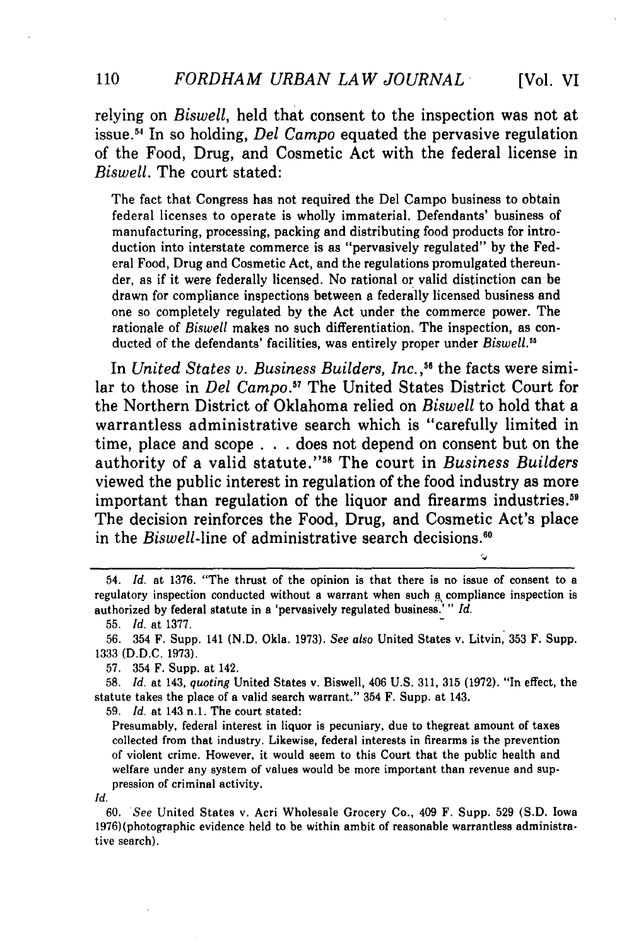relying on *Biswell,* held that consent to the inspection was not at issue. 54 In so holding, *Del Campo* equated the pervasive regulation of the Food, Drug, and Cosmetic Act with the federal license in *Biswell.* The court stated:

The fact that Congress has not required the Del Campo business to obtain federal licenses to operate is wholly immaterial. Defendants' business of manufacturing, processing, packing and distributing food products for introduction into interstate commerce is as "pervasively regulated" by the Federal Food, Drug and Cosmetic Act, and the regulations promulgated thereunder, as if it were federally licensed. No rational or valid distinction can be drawn for compliance inspections between a federally licensed business and one so completely regulated by the Act under the commerce power. The rationale of *Biswell* makes no such differentiation. The inspection, as conducted of the defendants' facilities, was entirely proper under *Biswell*.<sup>55</sup>

In *United States v. Business Builders, Inc.*,<sup>56</sup> the facts were similar to those in *Del Campo."* The United States District Court for the Northern District of Oklahoma relied on *Biswell* to hold that a warrantless administrative search which is "carefully limited in time, place and scope **. ..**does not depend on consent but on the authority of a valid statute."58 The court in *Business Builders* viewed the public interest in regulation of the food industry as more important than regulation of the liquor and firearms industries.<sup>59</sup> The decision reinforces the Food, Drug, and Cosmetic Act's place in the *Biswell-line* of administrative search decisions."

57. 354 F. Supp. at 142.

58. *Id.* at 143, *quoting* United States v. Biswell, 406 U.S. 311, 315 (1972). "In effect, the statute takes the place of a valid search warrant." 354 F. Supp. at 143.

59. Id. at 143 n.1. The court stated:

Presumably, federal interest in liquor is pecuniary, due to thegreat amount of taxes collected from that industry. Likewise, federal interests in firearms is the prevention of violent crime. However, it would seem to this Court that the public health and welfare under any system of values would be more important than revenue and suppression of criminal activity.

*Id.*

60. *See* United States v. Acri Wholesale Grocery Co., 409 F. Supp. 529 (S.D. Iowa 1976)(photographic evidence held to be within ambit of reasonable warrantless administrative search).

110

<sup>54.</sup> *Id.* at 1376. "The thrust of the opinion is that there is no issue of consent to a regulatory inspection conducted without a warrant when such **a** compliance inspection is authorized by federal statute in a 'pervasively regulated business.' " *Id.*

<sup>55.</sup> *Id.* at 1377.

<sup>56. 354</sup> F. Supp. 141 (N.D. Okla. 1973). *See also* United States v. Litvin, 353 F. Supp. 1333 (D.D.C. 1973).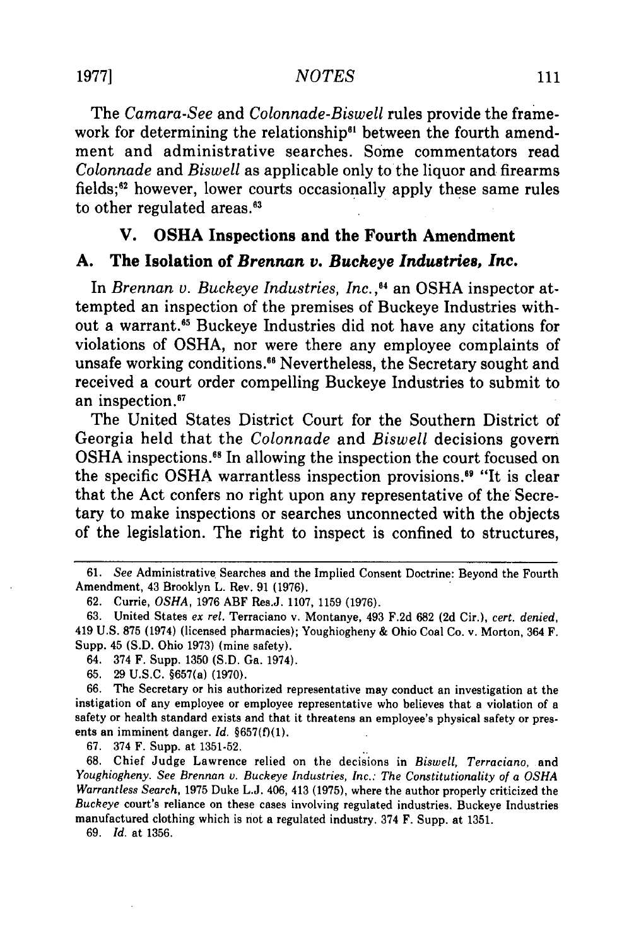The *Camara-See* and *Colonnade-Biswell* rules provide the framework for determining the relationship<sup>61</sup> between the fourth amendment and administrative searches. Some commentators read *Colonnade* and *Biswell* as applicable only to the liquor and firearms fields;" however, lower courts occasionally apply these same rules to other regulated areas.<sup>63</sup>

## **V. OSHA Inspections and the Fourth Amendment**

## **A. The Isolation of** *Brennan v. Buckeye Industries, Inc.*

In *Brennan v. Buckeye Industries, Inc.,64* an **OSHA** inspector attempted an inspection of the premises of Buckeye Industries without a warrant.<sup>65</sup> Buckeye Industries did not have any citations for violations of **OSHA,** nor were there any employee complaints of unsafe working conditions." Nevertheless, the Secretary sought and received a court order compelling Buckeye Industries to submit to an inspection.<sup>67</sup>

The United States District Court for the Southern District of Georgia held that the *Colonnade* and *Biswell* decisions govern **OSHA** inspections." In allowing the inspection the court focused on the specific **OSHA** warrantless inspection provisions." "It is clear that the Act confers no right upon any representative of the Secretary to make inspections or searches unconnected with the objects of the legislation. The right to inspect is confined to structures,

**67.** 374 F. Supp. at **1351-52.**

**68.** Chief Judge Lawrence relied on the decisions in *Biswell, Terraciano,* and *Youghiogheny. See Brennan v. Buckeye Industries, Inc.: The Constitutionality of a OSHA Warrantless Search,* **1975** Duke L.J. 406, 413 **(1975),** where the author properly criticized the *Buckeye* court's reliance on these cases involving regulated industries. Buckeye Industries manufactured clothing which is not a regulated industry. 374 F. Supp. at **1351.**

**69.** *Id.* at **1356.**

**<sup>61.</sup>** *See* Administrative Searches and the Implied Consent Doctrine: Beyond the Fourth Amendment, 43 Brooklyn L. Rev. **91 (1976).**

**<sup>62.</sup>** Currie, *OSHA,* **1976** ABF Res.J. **1107, 1159 (1976).**

**<sup>63.</sup>** United States *ex rel.* Terraciano v. Montanye, 493 **F.2d 682 (2d** Cir.), *cert. denied,* 419 **U.S. 875** (1974) (licensed pharmacies); Youghiogheny **&** Ohio Coal Co. v. Morton, 364 F. Supp. 45 **(S.D.** Ohio **1973)** (mine safety).

<sup>64. 374</sup> F. Supp. **1350 (S.D.** Ga. 1974).

**<sup>65. 29</sup> U.S.C.** §657(a) **(1970).**

**<sup>66.</sup>** The Secretary or his authorized representative may conduct an investigation at the instigation of any employee or employee representative who believes that a violation of a safety or health standard exists and that it threatens an employee's physical safety or presents an imminent danger. *Id.* **§657(f)(1).**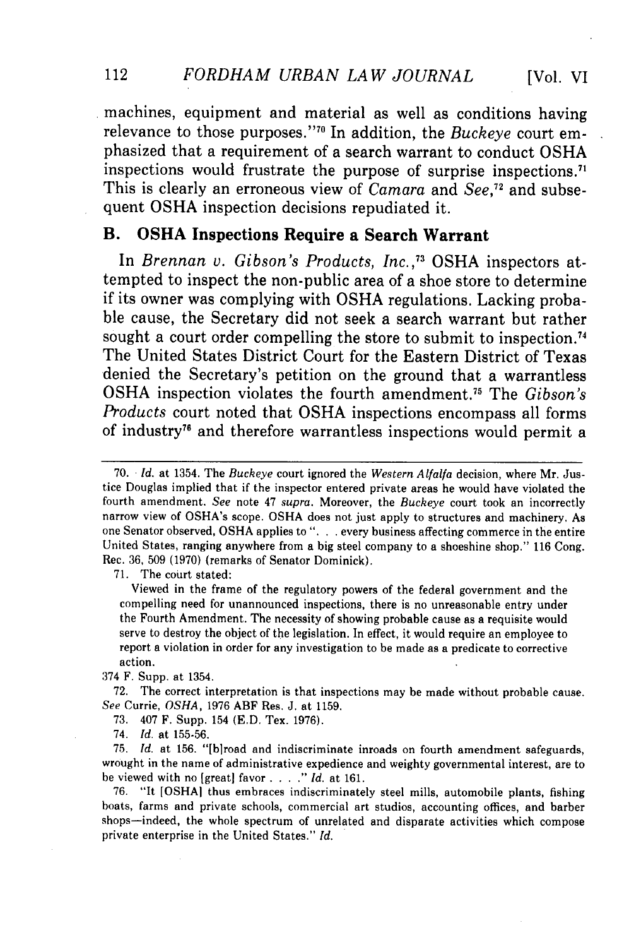machines, equipment and material as well as conditions having relevance to those purposes."<sup>70</sup> In addition, the *Buckeye* court emphasized that a requirement of a search warrant to conduct **OSHA** inspections would frustrate the purpose of surprise inspections.7 ' This is clearly an erroneous view of *Camara* and *See*,<sup>72</sup> and subsequent **OSHA** inspection decisions repudiated it.

## B. **OSHA Inspections Require a Search Warrant**

In *Brennan v. Gibson's Products, Inc.,"* OSHA inspectors attempted to inspect the non-public area of a shoe store to determine if its owner was complying with **OSHA** regulations. Lacking probable cause, the Secretary did not seek a search warrant but rather sought a court order compelling the store to submit to inspection.<sup>74</sup> The United States District Court for the Eastern District of Texas denied the Secretary's petition on the ground that a warrantless **OSHA** inspection violates the fourth amendment."5 The *Gibson's Products* court noted that **OSHA** inspections encompass all forms of industry<sup>76</sup> and therefore warrantless inspections would permit a

71. The court stated:

Viewed in the frame of the regulatory powers of the federal government and the compelling need for unannounced inspections, there is no unreasonable entry under the Fourth Amendment. The necessity of showing probable cause as a requisite would serve to destroy the object of the legislation. In effect, it would require an employee to report a violation in order for any investigation to be made as a predicate to corrective action.

374 F. Supp. at 1354.

72. The correct interpretation is that inspections may be made without probable cause. *See* Currie, *OSHA,* 1976 ABF Res. J. at 1159.

73. 407 F. Supp. 154 (E.D. Tex. 1976).

74. *Id.* at 155-56.

75. *Id.* at 156. "[biroad and indiscriminate inroads on fourth amendment safeguards, wrought in the name of administrative expedience and weighty governmental interest, are to be viewed with no [great] favor *.... " Id.* at 161.

76. "It [OSHAI thus embraces indiscriminately steel mills, automobile plants, fishing boats, farms and private schools, commercial art studios, accounting offices, and barber shops-indeed, the whole spectrum of unrelated and disparate activities which compose private enterprise in the United States." *Id.*

<sup>70.</sup> *Id.* at 1354. The Buckeye court ignored the *Western Alfalfa* decision, where Mr. Justice Douglas implied that if the inspector entered private areas he would have violated the fourth amendment. *See* note 47 supra. Moreover, the *Buckeye* court took an incorrectly narrow view of OSHA's scope. OSHA does not just apply to structures and machinery. As one Senator observed, OSHA applies to ". **.** . every business affecting commerce in the entire United States, ranging anywhere from a big steel company to a shoeshine shop." 116 Cong. Rec. 36, 509 (1970) (remarks of Senator Dominick).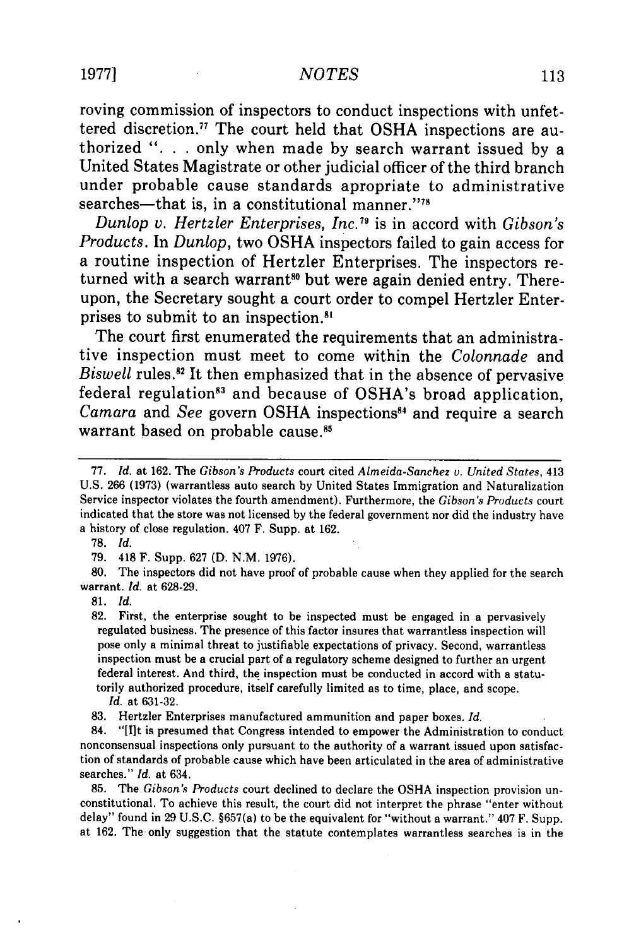#### 1977] *NOTES*

roving commission of inspectors to conduct inspections with unfettered discretion." The court held that OSHA inspections are authorized ". **.** . only when made by search warrant issued by a United States Magistrate or other judicial officer of the third branch under probable cause standards apropriate to administrative searches—that is, in a constitutional manner."<sup>78</sup>

*Dunlop v. Hertzler Enterprises, Inc.7 "* is in accord with *Gibson's Products.* In *Dunlop,* two OSHA inspectors failed to gain access for a routine inspection of Hertzler Enterprises. The inspectors returned with a search warrant<sup>80</sup> but were again denied entry. Thereupon, the Secretary sought a court order to compel Hertzler Enterprises to submit to an inspection."

The court first enumerated the requirements that an administrative inspection must meet to come within the *Colonnade* and *Biswell* rules.82 It then emphasized that in the absence of pervasive federal regulation<sup>83</sup> and because of OSHA's broad application, *Camara* and *See* govern OSHA inspections<sup>84</sup> and require a search warrant based on probable cause.<sup>85</sup>

**78.** *Id.*

**79.** 418 F. Supp. **627 (D. N.M. 1976).**

**80.** The inspectors did not have proof of probable cause when they applied for the search warrant. *Id.* at **628-29.**

**81.** *Id.*

82. First, the enterprise sought to be inspected must be engaged in a pervasively regulated business. The presence of this factor insures that warrantless inspection will pose only a minimal threat to justifiable expectations of privacy. Second, warrantless inspection must be a crucial part of a regulatory scheme designed to further an urgent federal interest. And third, the inspection must be conducted in accord with a statutorily authorized procedure, itself carefully limited as to time, place, and scope.

*Id.* at 631-32.

83. Hertzler Enterprises manufactured ammunition and paper boxes. *Id.*

84. "[lIt is presumed that Congress intended to empower the Administration to conduct nonconsensual inspections only pursuant to the authority of a warrant issued upon satisfaction of standards of probable cause which have been articulated in the area of administrative searches." *Id.* at 634.

85. The *Gibson's Products* court declined to declare the OSHA inspection provision unconstitutional. To achieve this result, the court did not interpret the phrase "enter without delay" found in **29** U.S.C. §657(a) to be the equivalent for "without a warrant." 407 F. Supp. at 162. The only suggestion that the statute contemplates warrantless searches is in the

<sup>77.</sup> *Id.* at **162.** The *Gibson's Products* court cited *Almeida-Sanchez v. United States,* <sup>413</sup> U.S. 266 (1973) (warrantless auto search by United States Immigration and Naturalization Service inspector violates the fourth amendment). Furthermore, the *Gibson's Products* court indicated that the store was not licensed by the federal government nor did the industry have a history of close regulation. 407 F. Supp. at 162.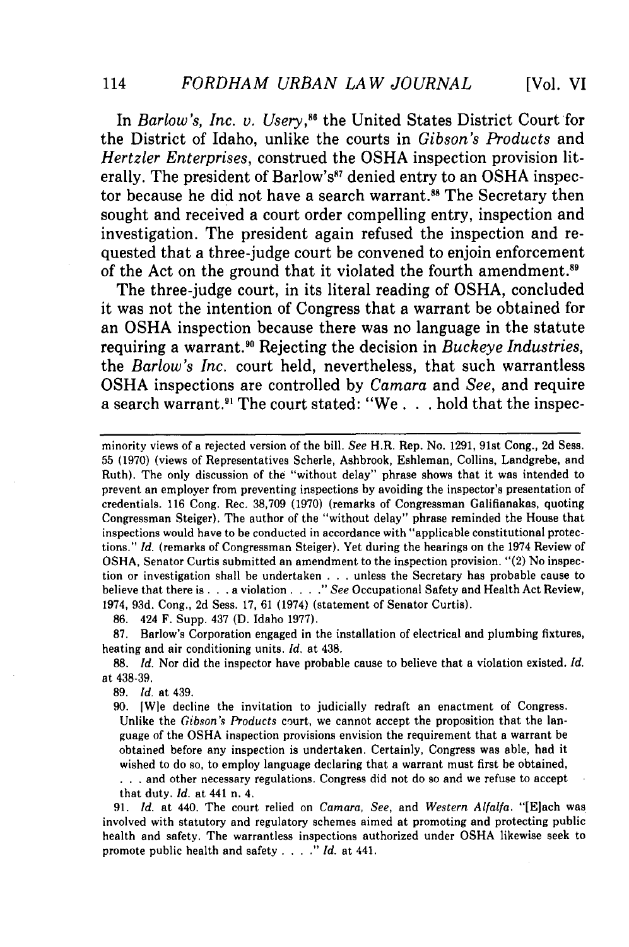In *Barlow's, Inc. v. Usery*,<sup>86</sup> the United States District Court for the District of Idaho, unlike the courts in *Gibson's Products* and *Hertzler Enterprises,* construed the OSHA inspection provision literally. The president of Barlow's<sup>87</sup> denied entry to an OSHA inspector because he did not have a search warrant.<sup>88</sup> The Secretary then sought and received a court order compelling entry, inspection and investigation. The president again refused the inspection and requested that a three-judge court be convened to enjoin enforcement of the Act on the ground that it violated the fourth amendment.

The three-judge court, in its literal reading of OSHA, concluded it was not the intention of Congress that a warrant be obtained for an OSHA inspection because there was no language in the statute requiring a warrant." Rejecting the decision in *Buckeye Industries,* the *Barlow's Inc.* court held, nevertheless, that such warrantless OSHA inspections are controlled by *Camara* and *See,* and require a search warrant." The court stated: "We **. .** .hold that the inspec-

minority views of a rejected version of the bill. *See* H.R. Rep. No. 1291, 91st Cong., 2d Sess. 55 (1970) (views of Representatives Scherle, Ashbrook, Eshleman, Collins, Landgrebe, and Ruth). The only discussion of the "without delay" phrase shows that it was intended to prevent an employer from preventing inspections by avoiding the inspector's presentation of credentials. 116 Cong. Rec. 38,709 (1970) (remarks of Congressman Galifianakas, quoting Congressman Steiger). The author of the "without delay" phrase reminded the House that inspections would have to be conducted in accordance with "applicable constitutional protections." *Id.* (remarks of Congressman Steiger). Yet during the hearings on the 1974 Review of OSHA, Senator Curtis submitted an amendment to the inspection provision. "(2) No inspection or investigation shall be undertaken ...unless the Secretary has probable cause to believe that there is **. .** .a violation... *"See* Occupational Safety and Health Act Review, 1974, 93d. Cong., 2d Sess. 17, 61 (1974) (statement of Senator Curtis).

86. 424 F. Supp. 437 (D. Idaho 1977).

87. Barlow's Corporation engaged in the installation of electrical and plumbing fixtures, heating and air conditioning units. *Id.* at 438.

88. *Id.* Nor did the inspector have probable cause to believe that a violation existed. *Id.* at 438-39.

89. *Id.* at 439.

90. [Wle decline the invitation to judicially redraft an enactment of Congress. Unlike the *Gibson's Products* court, we cannot accept the proposition that the language of the OSHA inspection provisions envision the requirement that a warrant be obtained before any inspection is undertaken. Certainly, Congress was able, had it wished to do so, to employ language declaring that a warrant must first be obtained, **.. .**and other necessary regulations. Congress did not do so and we refuse to accept that duty. *Id.* at 441 n. 4.

**91.** *Id.* at 440. The court relied on *Camara, See,* and *Western Alfalfa.* "[Elach was involved with statutory and regulatory schemes aimed at promoting and protecting public health and safety. The warrantless inspections authorized under OSHA likewise seek to promote public health and safety **.... "** *Id.* at 441.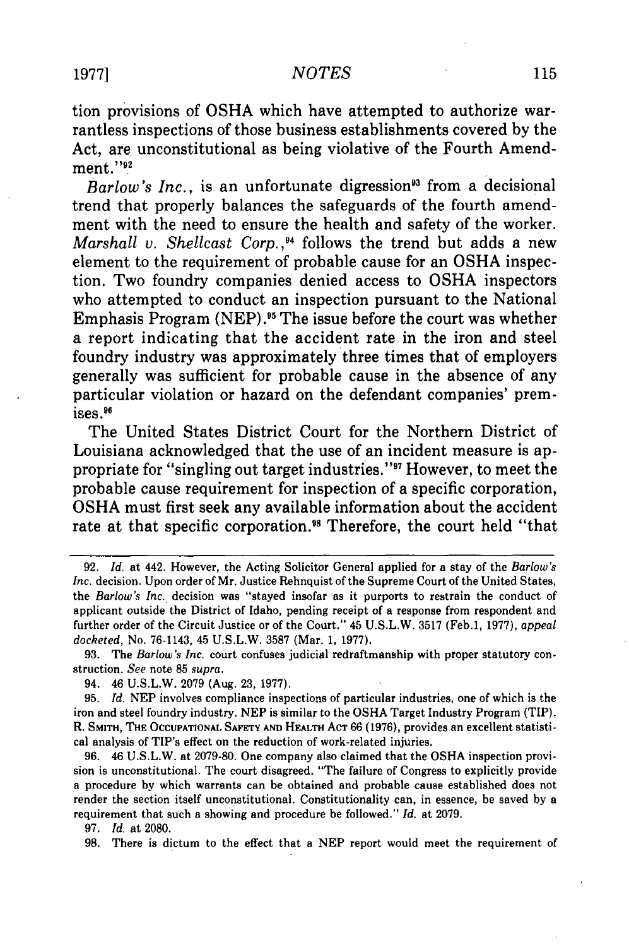tion provisions of **OSHA** which have attempted to authorize warrantless inspections of those business establishments covered **by** the Act, are unconstitutional as being violative of the Fourth Amend $ment." 92$ 

*Barlow's Inc.*, is an unfortunate digression<sup>33</sup> from a decisional trend that properly balances the safeguards of the fourth amendment with the need to ensure the health and safety of the worker. *Marshall v. Shellcast Corp.*,<sup>94</sup> follows the trend but adds a new element to the requirement of probable cause for an **OSHA** inspection. Two foundry companies denied access to **OSHA** inspectors who attempted to conduct an inspection pursuant to the National Emphasis Program **(NEP).95** The issue before the court was whether a report indicating that the accident rate in the iron and steel foundry industry was approximately three times that of employers generally was sufficient for probable cause in the absence of any particular violation or hazard on the defendant companies' premises.<sup>96</sup>

The United States District Court for the Northern District of Louisiana acknowledged that the use of an incident measure is appropriate for "singling out target industries."97 However, to meet the probable cause requirement for inspection of a specific corporation, **OSHA** must first seek any available information about the accident rate at that specific corporation.<sup>88</sup> Therefore, the court held "that

**<sup>92.</sup>** *Id.* at 442. However, the Acting Solicitor General applied for a stay of the *Barlow's Inc.* decision. Upon order of Mr. Justice Rehnquist of the Supreme Court of the United States, the *Barlow's Inc.* decision was "stayed insofar as it purports to restrain the conduct of applicant outside the District of Idaho, pending receipt of a response from respondent and further order of the Circuit Justice or of the Court." 45 **U.S.L.W. 3517** (Feb.1, **1977),** *appeal docketed,* No. **76-1143,** 45 **U.S.L.W. 3587** (Mar. **1, 1977).**

**<sup>93.</sup>** The *Barlow's Inc.* court confuses judicial redraftmanship with proper statutory construction. *See* note **85** *supra.*

<sup>94. 46</sup> **U.S.L.W. 2079** (Aug. **23, 1977).**

**<sup>95.</sup>** *Id.* **NEP** involves compliance inspections of particular industries, one of which is the iron and steel foundry industry. **NEP** is similar to the **OSHA** Target Industry Program (TIP). R. **SMITH, THE OCCUPATIONAL SAFETY AND HEALTH ACT 66 (1976),** provides an excellent statistical analysis of TIP's effect on the reduction of work-related injuries.

**<sup>96.</sup>** 46 **U.S.L.W.** at **2079-80.** One company also claimed that the **OSHA** inspection provision is unconstitutional. The court disagreed. "The failure of Congress to explicitly provide a procedure **by** which warrants can be obtained and probable cause established does not render the section itself unconstitutional. Constitutionality can, in essence, be saved **by** a requirement that such a showing and procedure be followed." *Id.* at **2079.**

**<sup>97.</sup>** *Id.* at **2080.**

**<sup>98.</sup>** There is dictum to the effect that a **NEP** report would meet the requirement of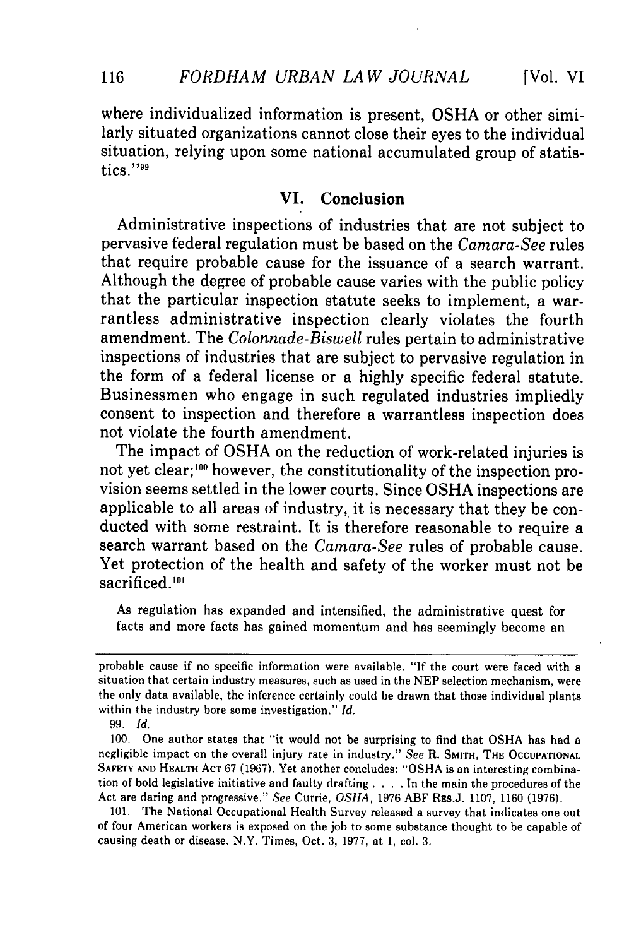where individualized information is present, OSHA or other similarly situated organizations cannot close their eyes to the individual situation, relying upon some national accumulated group of statistics.""

**[Vol.** VI

## **VI. Conclusion**

Administrative inspections of industries that are not subject to pervasive federal regulation must be based on the *Camara-See* rules that require probable cause for the issuance of a search warrant. Although the degree of probable cause varies with the public policy that the particular inspection statute seeks to implement, a warrantless administrative inspection clearly violates the fourth amendment. The *Colonnade-Biswell* rules pertain to administrative inspections of industries that are subject to pervasive regulation in the form of a federal license or a highly specific federal statute. Businessmen who engage in such regulated industries impliedly consent to inspection and therefore a warrantless inspection does not violate the fourth amendment.

The impact of OSHA on the reduction of work-related injuries is not yet clear;<sup>100</sup> however, the constitutionality of the inspection provision seems settled in the lower courts. Since OSHA inspections are applicable to all areas of industry, it is necessary that they be conducted with some restraint. It is therefore reasonable to require a search warrant based on the *Camara-See* rules of probable cause. Yet protection of the health and safety of the worker must not be sacrificed.<sup>101</sup>

As regulation has expanded and intensified, the administrative quest for facts and more facts has gained momentum and has seemingly become an

99. *Id.*

100. One author states that "it would not be surprising to find that OSHA has had a negligible impact on the overall injury rate in industry." *See* R. SMITH, **THE OCCUPATIONAL** SAFETY **AND** HEALTH **AcT** 67 (1967). Yet another concludes: "OSHA is an interesting combination of bold legislative initiative and faulty drafting .... In the main the procedures of the Act are daring and progressive." *See* Currie, *OSHA,* 1976 ABF REs.J. 1107, 1160 (1976).

101. The National Occupational Health Survey released a survey that indicates one out of four American workers is exposed on the job to some substance thought to be capable of causing death or disease. N.Y. Times, Oct. 3, 1977, at 1, col. 3.

116

probable cause if no specific information were available. "If the court were faced with a situation that certain industry measures, such as used in the NEP selection mechanism, were the only data available, the inference certainly could be drawn that those individual plants within the industry bore some investigation." *Id.*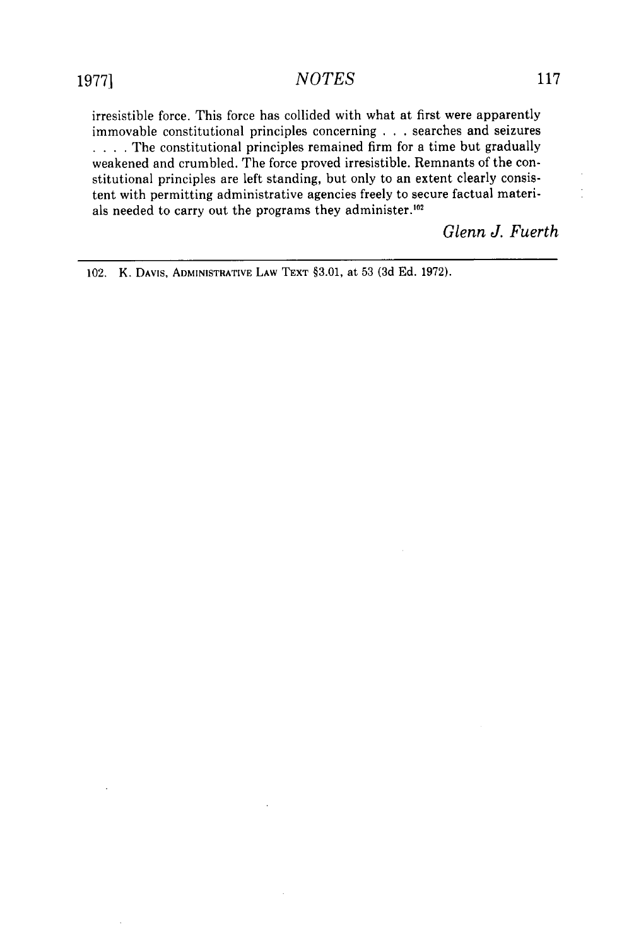irresistible force. This force has collided with what at first were apparently immovable constitutional principles concerning . . . searches and seizures **... .** The constitutional principles remained firm for a time but gradually weakened and crumbled. The force proved irresistible. Remnants of the constitutional principles are left standing, but only to an extent clearly consistent with permitting administrative agencies freely to secure factual materials needed to carry out the programs they administer.<sup>102</sup>

*Glenn J. Fuerth*

102. K. **DAVIS,** ADMINISTRATIVE **LAW** TEXT §3.01, at 53 (3d Ed. 1972).